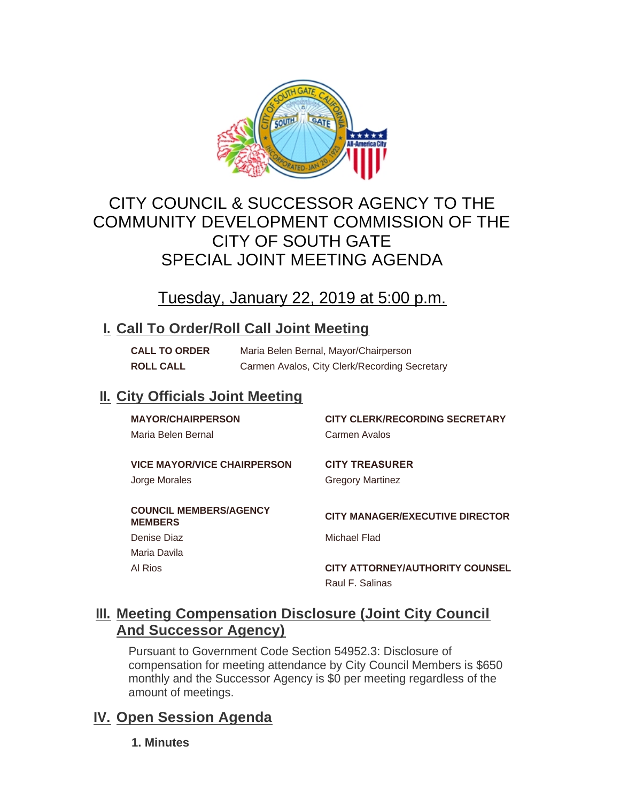

# CITY COUNCIL & SUCCESSOR AGENCY TO THE COMMUNITY DEVELOPMENT COMMISSION OF THE CITY OF SOUTH GATE SPECIAL JOINT MEETING AGENDA

# Tuesday, January 22, 2019 at 5:00 p.m.

### **Call To Order/Roll Call Joint Meeting I.**

**CALL TO ORDER** Maria Belen Bernal, Mayor/Chairperson **ROLL CALL** Carmen Avalos, City Clerk/Recording Secretary

## **II. City Officials Joint Meeting**

| <b>MAYOR/CHAIRPERSON</b><br>Maria Belen Bernal      | <b>CITY CLERK/RECORDING SECRETARY</b><br>Carmen Avalos |
|-----------------------------------------------------|--------------------------------------------------------|
| <b>VICE MAYOR/VICE CHAIRPERSON</b><br>Jorge Morales | <b>CITY TREASURER</b><br><b>Gregory Martinez</b>       |
| <b>COUNCIL MEMBERS/AGENCY</b><br><b>MEMBERS</b>     | <b>CITY MANAGER/EXECUTIVE DIRECTOR</b>                 |
| Denise Diaz                                         | Michael Flad                                           |
| Maria Davila                                        |                                                        |
| Al Rios                                             | <b>CITY ATTORNEY/AUTHORITY COUNSEL</b>                 |
|                                                     | Raul F. Salinas                                        |

### **Meeting Compensation Disclosure (Joint City Council III. And Successor Agency)**

Pursuant to Government Code Section 54952.3: Disclosure of compensation for meeting attendance by City Council Members is \$650 monthly and the Successor Agency is \$0 per meeting regardless of the amount of meetings.

## **IV.** Open Session Agenda

**1. Minutes**